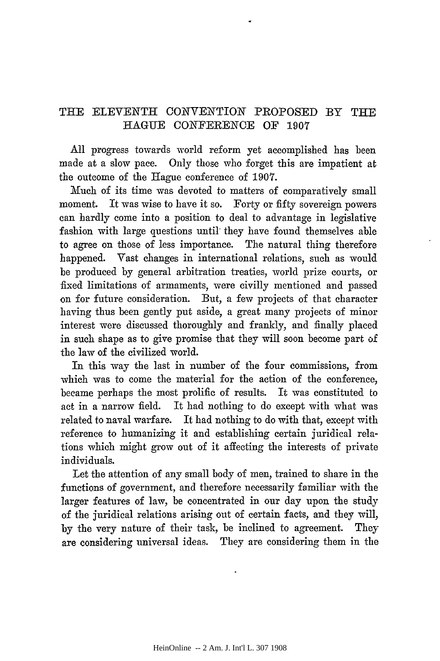## THE ELEVENTH CONVENTION PROPOSED BY THE HAGUE CONFERENCE OF 1907

All progress towards world reform yet accomplished has been made at a slow pace. Only those who forget this are impatient at the outcome of the Hague conference of **1907.**

Much of its time was devoted to matters of comparatively small moment. It was wise to have it so. Forty or fifty sovereign powers can hardly come into a position to deal to advantage in legislative fashion with large questions until they have found themselves able to agree on those of less importance. The natural thing therefore happened. Vast changes in international relations, such as would be produced by general arbitration treaties, world prize courts, or fixed limitations of armaments, were civilly mentioned and passed on for future consideration. But, a few projects of that character having thus been gently put aside, a great many projects of minor interest were discussed thoroughly and frankly, and finally placed in such shape as to give promise that they will soon become part of the law of the civilized world.

In this way the last in number of the four commissions, from which was to come the material for the action of the conference, became perhaps the most prolific of results. It was constituted to act in a narrow field. It had nothing to do except with what was related to naval warfare. It had nothing to do with that, except with reference to humanizing it and establishing certain juridical relations which might grow out of it affecting the interests of private individuals.

Let the attention of any small body of men, trained to share in the functions of government, and therefore necessarily familiar with the larger features of law, be concentrated in our day upon the study of the juridical relations arising out of certain facts, and they will, by the very nature of their task, be inclined to agreement. They are considering universal ideas. They are considering them in the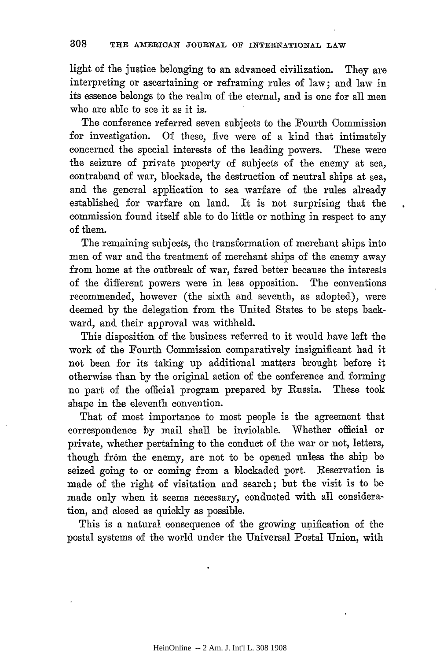light of the justice belonging to an advanced civilization. They are interpreting or ascertaining or reframing rules of law; and law in its essence belongs to the realm of the eternal, and is one for all men who are able to see it as it is.

The conference referred seven subjects to the Fourth Commission for investigation. Of these, five were of a kind that intimately concerned the special interests of the leading powers. These were the seizure of private property of subjects of the enemy at sea, contraband of war, blockade, the destruction of neutral ships at sea, and the general application to sea warfare of the rules already established for warfare on land. It is not surprising that the commission found itself able to do little or nothing in respect to any of them.

The remaining subjects, the transformation of merchant ships into men of war and the treatment of merchant ships of the enemy away from home at the outbreak of war, fared better because the interests of the different powers were in less opposition. The conventions recommended, however (the sixth and seventh, as adopted), were deemed by the delegation from the United States to be steps backward, and their approval was withheld.

This disposition of the business referred to it would have left the work of the Fourth Commission comparatively insignificant had it not been for its taking up additional matters brought before it otherwise than by the original action of the conference and forming no part of the official program prepared by Russia. These took shape in the eleventh convention.

That of most importance to most people is the agreement that correspondence by mail shall be inviolable. Whether official or private, whether pertaining to the conduct of the war or not, letters, though from the enemy, are not to be opened unless the ship be seized going to or coming from a blockaded port. Reservation is made of the right of visitation and search; but the visit is to be made only when it seems necessary, conducted with all consideration, and closed as quickly as possible.

This is a natural consequence of the growing unification of the postal systems of the world under the Universal Postal Union, with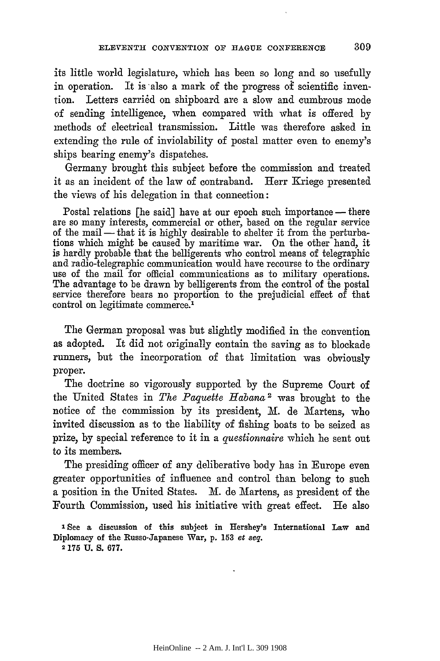its little world legislature, which has been so long and so usefully in operation. It is also a mark of the progress of scientific invention. Letters carried on shipboard are a slow and cumbrous mode of sending intelligence, when compared with what is offered by methods of electrical transmission. Little was therefore asked in extending the rule of inviolability of postal matter even to enemy's ships bearing enemy's dispatches.

Germany brought this subject before the commission and treated it as an incident of the law of contraband. Herr Kriege presented the views of his delegation in that connection:

Postal relations [he said] have at our epoch such importance — there are so many interests, commercial or other, based on the regular service of the mail - that it is highly desirable to shelter it from the perturba- tions which might be caused by maritime war. On the other hand, it is hardly probable that the belligerents who control means of telegraphic and radio-telegraphic communication would have recourse to the ordinary use of the mail for official communications as to military operations. The advantage to be drawn by belligerents from the control of the postal service therefore bears no proportion to the prejudicial effect of that control on legitimate commerce.'

The German proposal was but slightly modified in the convention as adopted. It did not originally contain the saving as to blockade runners, but the incorporation of that limitation was obviously proper.

The doctrine so vigorously supported by the Supreme Court of the United States in *The Paquette Habana2* was brought to the notice of the commission by its president, M. de Martens, who invited discussion as to the liability of fishing boats to be seized as prize, by special reference to it in a *questionnaire* which he sent out to its members.

The presiding officer of any deliberative body has in Europe even greater opportunities of influence and control than belong to such a position in the United States. **A.** de Martens, as president of the Fourth Commission, used his initiative with great effect. He also

**<sup>2</sup>175 U. S. 677.**

**<sup>&#</sup>x27; See a discussion of this subject in Hershey's International Law and Diplomacy of the Russo-Japanese War, p. 153** *et seq.*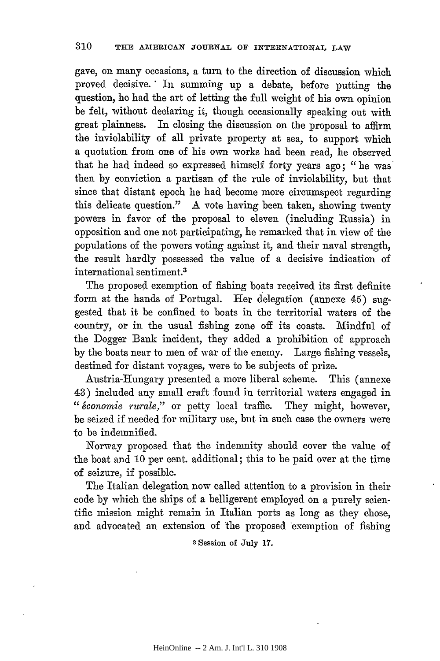gave, on many occasions, a turn to the direction of discussion which proved decisive." In summing up a debate, before putting the question, he had the art of letting the full weight of his own opinion be felt, without declaring it, though occasionally speaking out with great plainness. In closing the discussion on the proposal to affirm the inviolability of all private property at sea, to support which a quotation from one of his own works had been read, he observed that he had indeed so expressed himself forty years ago; "he was then by conviction a partisan of the rule of inviolability, but that since that distant epoch he had become more circumspect regarding this delicate question." A vote having been taken, showing twenty powers in favor of the proposal to eleven (including Russia) in opposition and one not participating, he remarked that in view of the populations of the powers voting against it, and their naval strength, the result hardly possessed the value of a decisive indication of international sentiment.3

The proposed exemption of fishing boats received its first definite form at the hands of Portugal. Her delegation (annexe 45) suggested that it be confined to boats in the territorial waters of the country, or in the usual fishing zone off its coasts. 'Mindful of the Dogger Bank incident, they added a prohibition of approach by the boats near to men of war of the enemy. Large fishing vessels, destined for distant voyages, were to be subjects of prize.

Austria-Hungary presented a more liberal scheme. This (annexe 43) included any small craft found in territorial waters engaged in *" conomie rurale,"* or petty local traffic. They might, however, be seized if needed for military use, but in such case the owners were to be indemnified.

Norway proposed that the indemnity should cover the value of the boat and 10 per cent. additional; this to be paid over at the time of seizure, if possible.

The Italian delegation now called attention to a provision in their code by which the ships of a belligerent employed on a purely scientific mission might remain in Italian ports as long as they chose, and advocated an extension of the proposed exemption of fishing

**3** Session of July **17.**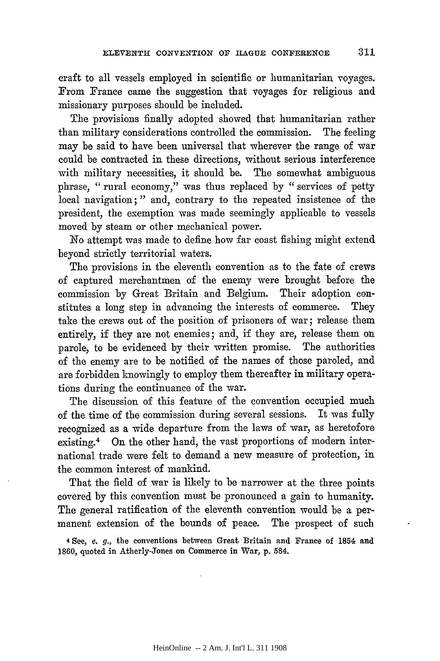craft to all vessels employed in scientific or humanitarian voyages. From France came the suggestion that voyages for religious and missionary purposes should be included.

The provisions finally adopted showed that humanitarian rather than military considerations controlled the commission. The feeling may be said to have been universal that wherever the range of war could be contracted in these directions, without serious interference with military necessities, it should be. The somewhat ambiguous phrase, "rural economy," was thus replaced by "services of petty local navigation;" and, contrary to the repeated insistence of the president, the exemption was made seemingly applicable to vessels moved **by** steam or other mechanical power.

No attempt was made to define how far coast fishing might extend beyond strictly territorial waters.

The provisions in the eleventh convention as to the fate of crews of captured merchantmen of the enemy were brought before the commission by Great Britain and Belgium. Their adoption constitutes a long step in advancing the interests of commerce. They take the crews out of the position of prisoners of war; release them entirely, if they are not enemies; and, if they are, release them on parole, to be evidenced **by** their written promise. The authorities of the enemy are to be notified of the names of those paroled, and are forbidden knowingly to employ them thereafter in military operations during the continuance of the war.

The discussion of this feature of the convention occupied much of the time of the commission during several sessions. It was fully recognized as a wide departure from the laws of war, as heretofore existing.<sup>4</sup> On the other hand, the vast proportions of modern international trade were felt to demand a new measure of protection, in the common interest of mankind.

That the field of war is likely to be narrower at the three points covered by this convention must be pronounced a gain to humanity. The general ratification of the eleventh convention would be a permanent extension of the bounds of peace. The prospect of such

**4 See,** *e.* **g.,** the conventions between **Great Britain and France** of **1854 and 1860, quoted in Atherly-Jones on Commerce in War, p.** 584.

311